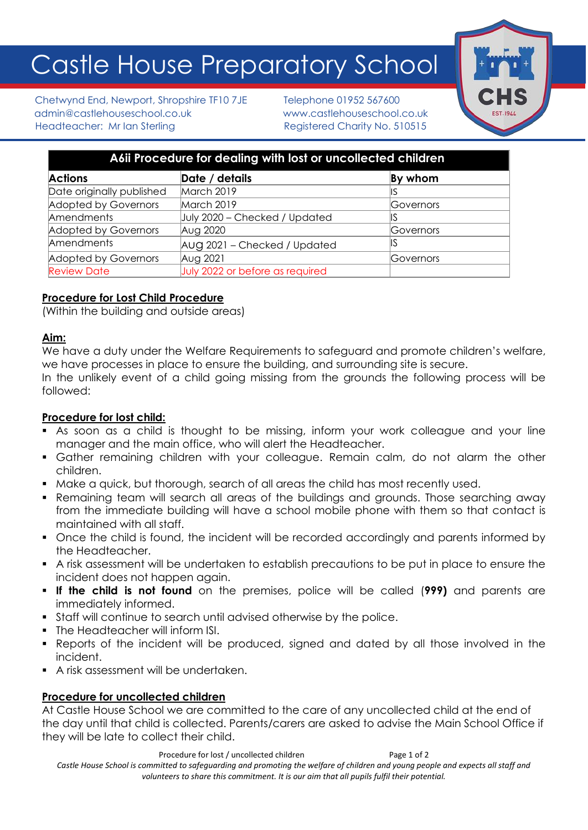# Castle House Preparatory School

Chetwynd End, Newport, Shropshire TF10 7JE Telephone 01952 567600 admin@castlehouseschool.co.uk www.castlehouseschool.co.uk Headteacher: Mr Ian Sterling Theory Registered Charity No. 510515



| A6ii Procedure for dealing with lost or uncollected children |                                 |           |
|--------------------------------------------------------------|---------------------------------|-----------|
| <b>Actions</b>                                               | Date / details                  | By whom   |
| Date originally published                                    | March 2019                      |           |
| Adopted by Governors                                         | March 2019                      | Governors |
| Amendments                                                   | July 2020 - Checked / Updated   |           |
| Adopted by Governors                                         | Aug 2020                        | Governors |
| Amendments                                                   | AUG 2021 - Checked / Updated    | IS        |
| Adopted by Governors                                         | Aug 2021                        | Governors |
| <b>Review Date</b>                                           | July 2022 or before as required |           |

# **Procedure for Lost Child Procedure**

(Within the building and outside areas)

# **Aim:**

We have a duty under the Welfare Requirements to safeguard and promote children's welfare, we have processes in place to ensure the building, and surrounding site is secure.

In the unlikely event of a child going missing from the grounds the following process will be followed:

### **Procedure for lost child:**

- As soon as a child is thought to be missing, inform your work colleague and your line manager and the main office, who will alert the Headteacher.
- Gather remaining children with your colleague. Remain calm, do not alarm the other children.
- Make a quick, but thorough, search of all areas the child has most recently used.
- Remaining team will search all areas of the buildings and grounds. Those searching away from the immediate building will have a school mobile phone with them so that contact is maintained with all staff.
- Once the child is found, the incident will be recorded accordingly and parents informed by the Headteacher.
- A risk assessment will be undertaken to establish precautions to be put in place to ensure the incident does not happen again.
- **If the child is not found** on the premises, police will be called (**999)** and parents are immediately informed.
- Staff will continue to search until advised otherwise by the police.
- The Headteacher will inform ISI.
- Reports of the incident will be produced, signed and dated by all those involved in the incident.
- A risk assessment will be undertaken.

### **Procedure for uncollected children**

At Castle House School we are committed to the care of any uncollected child at the end of the day until that child is collected. Parents/carers are asked to advise the Main School Office if they will be late to collect their child.